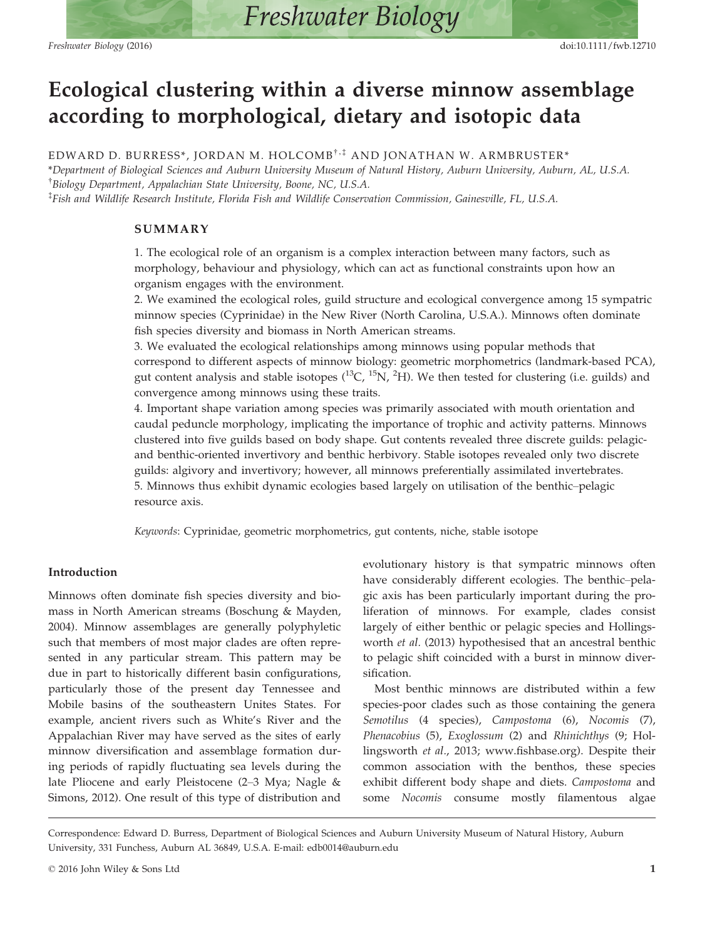# Ecological clustering within a diverse minnow assemblage according to morphological, dietary and isotopic data

EDWARD D. BURRESS\*, JORDAN M. HOLCOMB<sup>†,‡</sup> AND JONATHAN W. ARMBRUSTER\* \*Department of Biological Sciences and Auburn University Museum of Natural History, Auburn University, Auburn, AL, U.S.A. † Biology Department, Appalachian State University, Boone, NC, U.S.A. ‡ Fish and Wildlife Research Institute, Florida Fish and Wildlife Conservation Commission, Gainesville, FL, U.S.A.

## SUMMARY

1. The ecological role of an organism is a complex interaction between many factors, such as morphology, behaviour and physiology, which can act as functional constraints upon how an organism engages with the environment.

2. We examined the ecological roles, guild structure and ecological convergence among 15 sympatric minnow species (Cyprinidae) in the New River (North Carolina, U.S.A.). Minnows often dominate fish species diversity and biomass in North American streams.

3. We evaluated the ecological relationships among minnows using popular methods that correspond to different aspects of minnow biology: geometric morphometrics (landmark-based PCA), gut content analysis and stable isotopes  $(^{13}C, ^{15}N, ^{2}H)$ . We then tested for clustering (i.e. guilds) and convergence among minnows using these traits.

4. Important shape variation among species was primarily associated with mouth orientation and caudal peduncle morphology, implicating the importance of trophic and activity patterns. Minnows clustered into five guilds based on body shape. Gut contents revealed three discrete guilds: pelagicand benthic-oriented invertivory and benthic herbivory. Stable isotopes revealed only two discrete guilds: algivory and invertivory; however, all minnows preferentially assimilated invertebrates. 5. Minnows thus exhibit dynamic ecologies based largely on utilisation of the benthic–pelagic resource axis.

Keywords: Cyprinidae, geometric morphometrics, gut contents, niche, stable isotope

## Introduction

Minnows often dominate fish species diversity and biomass in North American streams (Boschung & Mayden, 2004). Minnow assemblages are generally polyphyletic such that members of most major clades are often represented in any particular stream. This pattern may be due in part to historically different basin configurations, particularly those of the present day Tennessee and Mobile basins of the southeastern Unites States. For example, ancient rivers such as White's River and the Appalachian River may have served as the sites of early minnow diversification and assemblage formation during periods of rapidly fluctuating sea levels during the late Pliocene and early Pleistocene (2–3 Mya; Nagle & Simons, 2012). One result of this type of distribution and evolutionary history is that sympatric minnows often have considerably different ecologies. The benthic–pelagic axis has been particularly important during the proliferation of minnows. For example, clades consist largely of either benthic or pelagic species and Hollingsworth et al. (2013) hypothesised that an ancestral benthic to pelagic shift coincided with a burst in minnow diversification.

Most benthic minnows are distributed within a few species-poor clades such as those containing the genera Semotilus (4 species), Campostoma (6), Nocomis (7), Phenacobius (5), Exoglossum (2) and Rhinichthys (9; Hollingsworth et al., 2013; [www.fishbase.org\)](http://www.fishbase.org). Despite their common association with the benthos, these species exhibit different body shape and diets. Campostoma and some Nocomis consume mostly filamentous algae

Correspondence: Edward D. Burress, Department of Biological Sciences and Auburn University Museum of Natural History, Auburn University, 331 Funchess, Auburn AL 36849, U.S.A. E-mail: edb0014@auburn.edu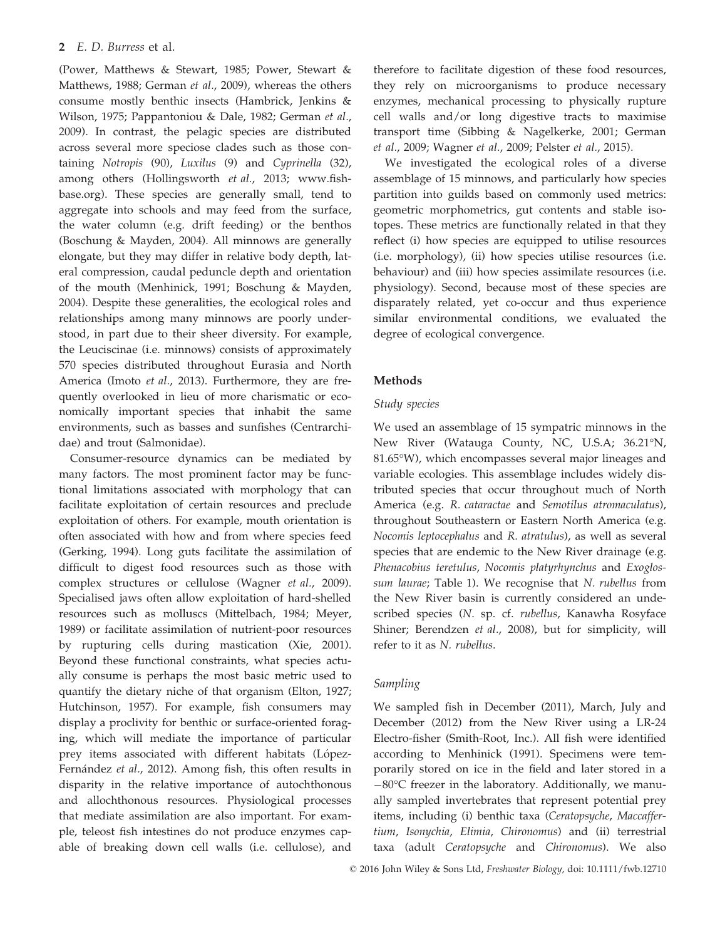(Power, Matthews & Stewart, 1985; Power, Stewart & Matthews, 1988; German et al., 2009), whereas the others consume mostly benthic insects (Hambrick, Jenkins & Wilson, 1975; Pappantoniou & Dale, 1982; German et al., 2009). In contrast, the pelagic species are distributed across several more speciose clades such as those containing Notropis (90), Luxilus (9) and Cyprinella (32), among others (Hollingsworth et al., 2013; [www.fish](http://www.fishbase.org)[base.org](http://www.fishbase.org)). These species are generally small, tend to aggregate into schools and may feed from the surface, the water column (e.g. drift feeding) or the benthos (Boschung & Mayden, 2004). All minnows are generally elongate, but they may differ in relative body depth, lateral compression, caudal peduncle depth and orientation of the mouth (Menhinick, 1991; Boschung & Mayden, 2004). Despite these generalities, the ecological roles and relationships among many minnows are poorly understood, in part due to their sheer diversity. For example, the Leuciscinae (i.e. minnows) consists of approximately 570 species distributed throughout Eurasia and North America (Imoto et al., 2013). Furthermore, they are frequently overlooked in lieu of more charismatic or economically important species that inhabit the same environments, such as basses and sunfishes (Centrarchidae) and trout (Salmonidae).

Consumer-resource dynamics can be mediated by many factors. The most prominent factor may be functional limitations associated with morphology that can facilitate exploitation of certain resources and preclude exploitation of others. For example, mouth orientation is often associated with how and from where species feed (Gerking, 1994). Long guts facilitate the assimilation of difficult to digest food resources such as those with complex structures or cellulose (Wagner et al., 2009). Specialised jaws often allow exploitation of hard-shelled resources such as molluscs (Mittelbach, 1984; Meyer, 1989) or facilitate assimilation of nutrient-poor resources by rupturing cells during mastication (Xie, 2001). Beyond these functional constraints, what species actually consume is perhaps the most basic metric used to quantify the dietary niche of that organism (Elton, 1927; Hutchinson, 1957). For example, fish consumers may display a proclivity for benthic or surface-oriented foraging, which will mediate the importance of particular prey items associated with different habitats (López-Fernández et al., 2012). Among fish, this often results in disparity in the relative importance of autochthonous and allochthonous resources. Physiological processes that mediate assimilation are also important. For example, teleost fish intestines do not produce enzymes capable of breaking down cell walls (i.e. cellulose), and

therefore to facilitate digestion of these food resources, they rely on microorganisms to produce necessary enzymes, mechanical processing to physically rupture cell walls and/or long digestive tracts to maximise transport time (Sibbing & Nagelkerke, 2001; German et al., 2009; Wagner et al., 2009; Pelster et al., 2015).

We investigated the ecological roles of a diverse assemblage of 15 minnows, and particularly how species partition into guilds based on commonly used metrics: geometric morphometrics, gut contents and stable isotopes. These metrics are functionally related in that they reflect (i) how species are equipped to utilise resources (i.e. morphology), (ii) how species utilise resources (i.e. behaviour) and (iii) how species assimilate resources (i.e. physiology). Second, because most of these species are disparately related, yet co-occur and thus experience similar environmental conditions, we evaluated the degree of ecological convergence.

## Methods

## Study species

We used an assemblage of 15 sympatric minnows in the New River (Watauga County, NC, U.S.A; 36.21°N, 81.65°W), which encompasses several major lineages and variable ecologies. This assemblage includes widely distributed species that occur throughout much of North America (e.g. R. cataractae and Semotilus atromaculatus), throughout Southeastern or Eastern North America (e.g. Nocomis leptocephalus and R. atratulus), as well as several species that are endemic to the New River drainage (e.g. Phenacobius teretulus, Nocomis platyrhynchus and Exoglossum laurae; Table 1). We recognise that N. rubellus from the New River basin is currently considered an undescribed species (N. sp. cf. rubellus, Kanawha Rosyface Shiner; Berendzen et al., 2008), but for simplicity, will refer to it as N. rubellus.

## Sampling

We sampled fish in December (2011), March, July and December (2012) from the New River using a LR-24 Electro-fisher (Smith-Root, Inc.). All fish were identified according to Menhinick (1991). Specimens were temporarily stored on ice in the field and later stored in a  $-80^{\circ}$ C freezer in the laboratory. Additionally, we manually sampled invertebrates that represent potential prey items, including (i) benthic taxa (Ceratopsyche, Maccaffertium, Isonychia, Elimia, Chironomus) and (ii) terrestrial taxa (adult Ceratopsyche and Chironomus). We also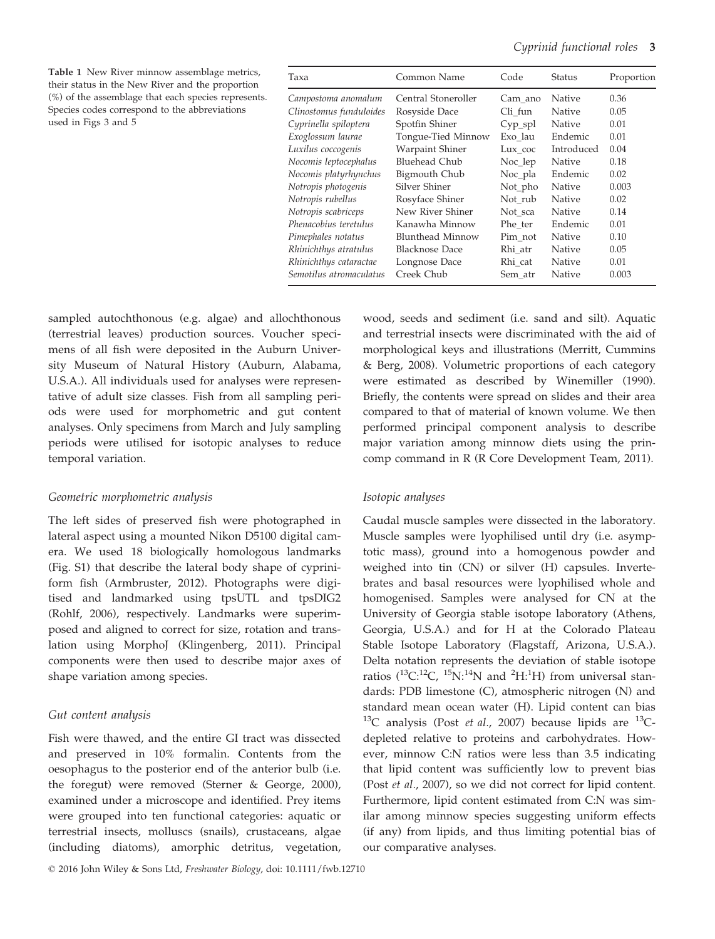Table 1 New River minnow assemblage metrics, their status in the New River and the proportion (%) of the assemblage that each species represents. Species codes correspond to the abbreviations used in Figs 3 and 5

| Taxa                    | Common Name           | Code      | Status     | Proportion |
|-------------------------|-----------------------|-----------|------------|------------|
| Campostoma anomalum     | Central Stoneroller   | Cam ano   | Native     | 0.36       |
| Clinostomus funduloides | Rosyside Dace         | Cli fun   | Native     | 0.05       |
| Cyprinella spiloptera   | Spotfin Shiner        | $Cyp$ spl | Native     | 0.01       |
| Exoglossum laurae       | Tongue-Tied Minnow    | Exo lau   | Endemic    | 0.01       |
| Luxilus coccogenis      | Warpaint Shiner       | Lux coc   | Introduced | 0.04       |
| Nocomis leptocephalus   | Bluehead Chub         | Noc lep   | Native     | 0.18       |
| Nocomis platyrhynchus   | Bigmouth Chub         | Noc_pla   | Endemic    | 0.02       |
| Notropis photogenis     | Silver Shiner         | Not_pho   | Native     | 0.003      |
| Notropis rubellus       | Rosyface Shiner       | Not rub   | Native     | 0.02       |
| Notropis scabriceps     | New River Shiner      | Not sca   | Native     | 0.14       |
| Phenacobius teretulus   | Kanawha Minnow        | Phe ter   | Endemic    | 0.01       |
| Pimephales notatus      | Blunthead Minnow      | Pim not   | Native     | 0.10       |
| Rhinichthys atratulus   | <b>Blacknose Dace</b> | Rhi atr   | Native     | 0.05       |
| Rhinichthys cataractae  | Longnose Dace         | Rhi cat   | Native     | 0.01       |
| Semotilus atromaculatus | Creek Chub            | Sem atr   | Native     | 0.003      |

sampled autochthonous (e.g. algae) and allochthonous (terrestrial leaves) production sources. Voucher specimens of all fish were deposited in the Auburn University Museum of Natural History (Auburn, Alabama, U.S.A.). All individuals used for analyses were representative of adult size classes. Fish from all sampling periods were used for morphometric and gut content analyses. Only specimens from March and July sampling periods were utilised for isotopic analyses to reduce temporal variation.

## Geometric morphometric analysis

The left sides of preserved fish were photographed in lateral aspect using a mounted Nikon D5100 digital camera. We used 18 biologically homologous landmarks (Fig. S1) that describe the lateral body shape of cypriniform fish (Armbruster, 2012). Photographs were digitised and landmarked using tpsUTL and tpsDIG2 (Rohlf, 2006), respectively. Landmarks were superimposed and aligned to correct for size, rotation and translation using MorphoJ (Klingenberg, 2011). Principal components were then used to describe major axes of shape variation among species.

#### Gut content analysis

Fish were thawed, and the entire GI tract was dissected and preserved in 10% formalin. Contents from the oesophagus to the posterior end of the anterior bulb (i.e. the foregut) were removed (Sterner & George, 2000), examined under a microscope and identified. Prey items were grouped into ten functional categories: aquatic or terrestrial insects, molluscs (snails), crustaceans, algae (including diatoms), amorphic detritus, vegetation,

© 2016 John Wiley & Sons Ltd, Freshwater Biology, doi: 10.1111/fwb.12710

wood, seeds and sediment (i.e. sand and silt). Aquatic and terrestrial insects were discriminated with the aid of morphological keys and illustrations (Merritt, Cummins & Berg, 2008). Volumetric proportions of each category were estimated as described by Winemiller (1990). Briefly, the contents were spread on slides and their area compared to that of material of known volume. We then performed principal component analysis to describe major variation among minnow diets using the princomp command in R (R Core Development Team, 2011).

#### Isotopic analyses

Caudal muscle samples were dissected in the laboratory. Muscle samples were lyophilised until dry (i.e. asymptotic mass), ground into a homogenous powder and weighed into tin (CN) or silver (H) capsules. Invertebrates and basal resources were lyophilised whole and homogenised. Samples were analysed for CN at the University of Georgia stable isotope laboratory (Athens, Georgia, U.S.A.) and for H at the Colorado Plateau Stable Isotope Laboratory (Flagstaff, Arizona, U.S.A.). Delta notation represents the deviation of stable isotope ratios  $(^{13}C^{12}C,~^{15}N^{14}N$  and  $^2H^{1}H$ ) from universal standards: PDB limestone (C), atmospheric nitrogen (N) and standard mean ocean water (H). Lipid content can bias  $^{13}$ C analysis (Post *et al.*, 2007) because lipids are  $^{13}$ Cdepleted relative to proteins and carbohydrates. However, minnow C:N ratios were less than 3.5 indicating that lipid content was sufficiently low to prevent bias (Post et al., 2007), so we did not correct for lipid content. Furthermore, lipid content estimated from C:N was similar among minnow species suggesting uniform effects (if any) from lipids, and thus limiting potential bias of our comparative analyses.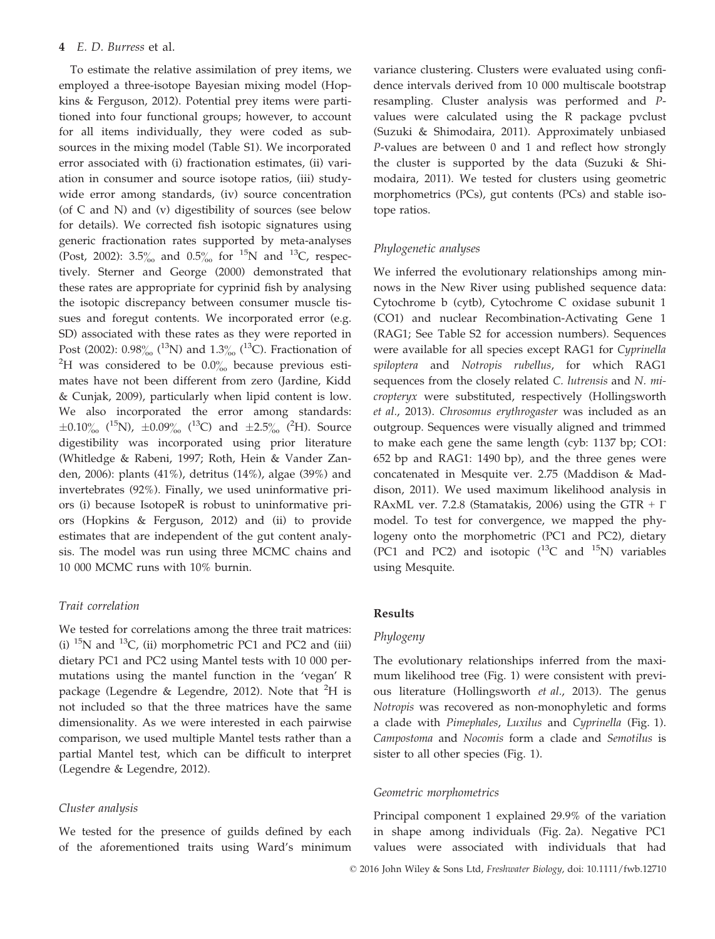To estimate the relative assimilation of prey items, we employed a three-isotope Bayesian mixing model (Hopkins & Ferguson, 2012). Potential prey items were partitioned into four functional groups; however, to account for all items individually, they were coded as subsources in the mixing model (Table S1). We incorporated error associated with (i) fractionation estimates, (ii) variation in consumer and source isotope ratios, (iii) studywide error among standards, (iv) source concentration (of C and N) and (v) digestibility of sources (see below for details). We corrected fish isotopic signatures using generic fractionation rates supported by meta-analyses (Post, 2002): 3.5<sup>o</sup><sub>00</sub> and 0.5<sup>o</sup><sub>00</sub> for <sup>15</sup>N and <sup>13</sup>C, respectively. Sterner and George (2000) demonstrated that these rates are appropriate for cyprinid fish by analysing the isotopic discrepancy between consumer muscle tissues and foregut contents. We incorporated error (e.g. SD) associated with these rates as they were reported in Post (2002):  $0.98\%$  (<sup>13</sup>N) and  $1.3\%$  (<sup>13</sup>C). Fractionation of  ${}^{2}$ H was considered to be 0.0 $\%$  because previous estimates have not been different from zero (Jardine, Kidd & Cunjak, 2009), particularly when lipid content is low. We also incorporated the error among standards:  $\pm 0.10\%$  (<sup>15</sup>N),  $\pm 0.09\%$  (<sup>13</sup>C) and  $\pm 2.5\%$  (<sup>2</sup>H). Source digestibility was incorporated using prior literature (Whitledge & Rabeni, 1997; Roth, Hein & Vander Zanden, 2006): plants (41%), detritus (14%), algae (39%) and invertebrates (92%). Finally, we used uninformative priors (i) because IsotopeR is robust to uninformative priors (Hopkins & Ferguson, 2012) and (ii) to provide estimates that are independent of the gut content analysis. The model was run using three MCMC chains and 10 000 MCMC runs with 10% burnin.

## Trait correlation

We tested for correlations among the three trait matrices: (i)  $^{15}$ N and  $^{13}$ C, (ii) morphometric PC1 and PC2 and (iii) dietary PC1 and PC2 using Mantel tests with 10 000 permutations using the mantel function in the 'vegan' R package (Legendre & Legendre, 2012). Note that  ${}^{2}H$  is not included so that the three matrices have the same dimensionality. As we were interested in each pairwise comparison, we used multiple Mantel tests rather than a partial Mantel test, which can be difficult to interpret (Legendre & Legendre, 2012).

#### Cluster analysis

We tested for the presence of guilds defined by each of the aforementioned traits using Ward's minimum variance clustering. Clusters were evaluated using confidence intervals derived from 10 000 multiscale bootstrap resampling. Cluster analysis was performed and Pvalues were calculated using the R package pvclust (Suzuki & Shimodaira, 2011). Approximately unbiased P-values are between 0 and 1 and reflect how strongly the cluster is supported by the data (Suzuki & Shimodaira, 2011). We tested for clusters using geometric morphometrics (PCs), gut contents (PCs) and stable isotope ratios.

#### Phylogenetic analyses

We inferred the evolutionary relationships among minnows in the New River using published sequence data: Cytochrome b (cytb), Cytochrome C oxidase subunit 1 (CO1) and nuclear Recombination-Activating Gene 1 (RAG1; See Table S2 for accession numbers). Sequences were available for all species except RAG1 for Cyprinella spiloptera and Notropis rubellus, for which RAG1 sequences from the closely related C. lutrensis and N. micropteryx were substituted, respectively (Hollingsworth et al., 2013). Chrosomus erythrogaster was included as an outgroup. Sequences were visually aligned and trimmed to make each gene the same length (cyb: 1137 bp; CO1: 652 bp and RAG1: 1490 bp), and the three genes were concatenated in Mesquite ver. 2.75 (Maddison & Maddison, 2011). We used maximum likelihood analysis in RAxML ver. 7.2.8 (Stamatakis, 2006) using the GTR +  $\Gamma$ model. To test for convergence, we mapped the phylogeny onto the morphometric (PC1 and PC2), dietary (PC1 and PC2) and isotopic  $(^{13}C$  and  $^{15}N$ ) variables using Mesquite.

## Results

#### Phylogeny

The evolutionary relationships inferred from the maximum likelihood tree (Fig. 1) were consistent with previous literature (Hollingsworth et al., 2013). The genus Notropis was recovered as non-monophyletic and forms a clade with Pimephales, Luxilus and Cyprinella (Fig. 1). Campostoma and Nocomis form a clade and Semotilus is sister to all other species (Fig. 1).

#### Geometric morphometrics

Principal component 1 explained 29.9% of the variation in shape among individuals (Fig. 2a). Negative PC1 values were associated with individuals that had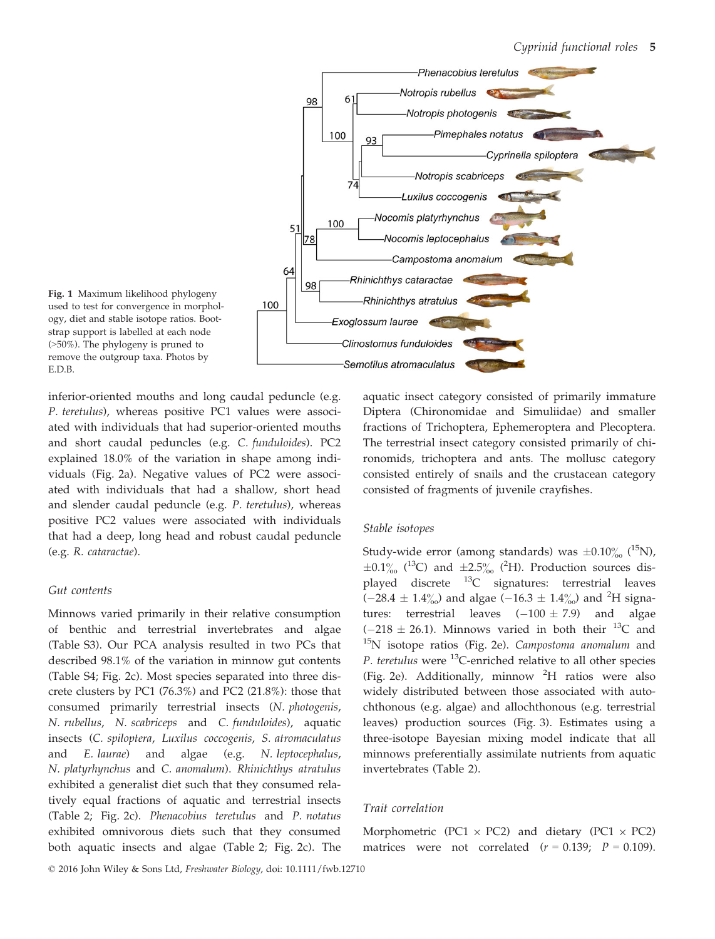



inferior-oriented mouths and long caudal peduncle (e.g. P. teretulus), whereas positive PC1 values were associated with individuals that had superior-oriented mouths and short caudal peduncles (e.g. C. funduloides). PC2 explained 18.0% of the variation in shape among individuals (Fig. 2a). Negative values of PC2 were associated with individuals that had a shallow, short head and slender caudal peduncle (e.g. P. teretulus), whereas positive PC2 values were associated with individuals that had a deep, long head and robust caudal peduncle (e.g. R. cataractae).

#### Gut contents

Minnows varied primarily in their relative consumption of benthic and terrestrial invertebrates and algae (Table S3). Our PCA analysis resulted in two PCs that described 98.1% of the variation in minnow gut contents (Table S4; Fig. 2c). Most species separated into three discrete clusters by PC1 (76.3%) and PC2 (21.8%): those that consumed primarily terrestrial insects (N. photogenis, N. rubellus, N. scabriceps and C. funduloides), aquatic insects (C. spiloptera, Luxilus coccogenis, S. atromaculatus and E. laurae) and algae (e.g. N. leptocephalus, N. platyrhynchus and C. anomalum). Rhinichthys atratulus exhibited a generalist diet such that they consumed relatively equal fractions of aquatic and terrestrial insects (Table 2; Fig. 2c). Phenacobius teretulus and P. notatus exhibited omnivorous diets such that they consumed both aquatic insects and algae (Table 2; Fig. 2c). The aquatic insect category consisted of primarily immature Diptera (Chironomidae and Simuliidae) and smaller fractions of Trichoptera, Ephemeroptera and Plecoptera. The terrestrial insect category consisted primarily of chironomids, trichoptera and ants. The mollusc category consisted entirely of snails and the crustacean category consisted of fragments of juvenile crayfishes.

#### Stable isotopes

Study-wide error (among standards) was  $\pm 0.10\%$  (<sup>15</sup>N),  $\pm 0.1\%$  (<sup>13</sup>C) and  $\pm 2.5\%$  (<sup>2</sup>H). Production sources displayed discrete  $^{13}$ C signatures: terrestrial leaves  $(-28.4 \pm 1.4\%)$  and algae  $(-16.3 \pm 1.4\%)$  and <sup>2</sup>H signatures: terrestrial leaves  $(-100 \pm 7.9)$  and algae  $(-218 \pm 26.1)$ . Minnows varied in both their <sup>13</sup>C and <sup>15</sup>N isotope ratios (Fig. 2e). *Campostoma anomalum* and P. teretulus were  $^{13}$ C-enriched relative to all other species (Fig. 2e). Additionally, minnow <sup>2</sup> H ratios were also widely distributed between those associated with autochthonous (e.g. algae) and allochthonous (e.g. terrestrial leaves) production sources (Fig. 3). Estimates using a three-isotope Bayesian mixing model indicate that all minnows preferentially assimilate nutrients from aquatic invertebrates (Table 2).

## Trait correlation

Morphometric (PC1  $\times$  PC2) and dietary (PC1  $\times$  PC2) matrices were not correlated  $(r = 0.139; P = 0.109)$ .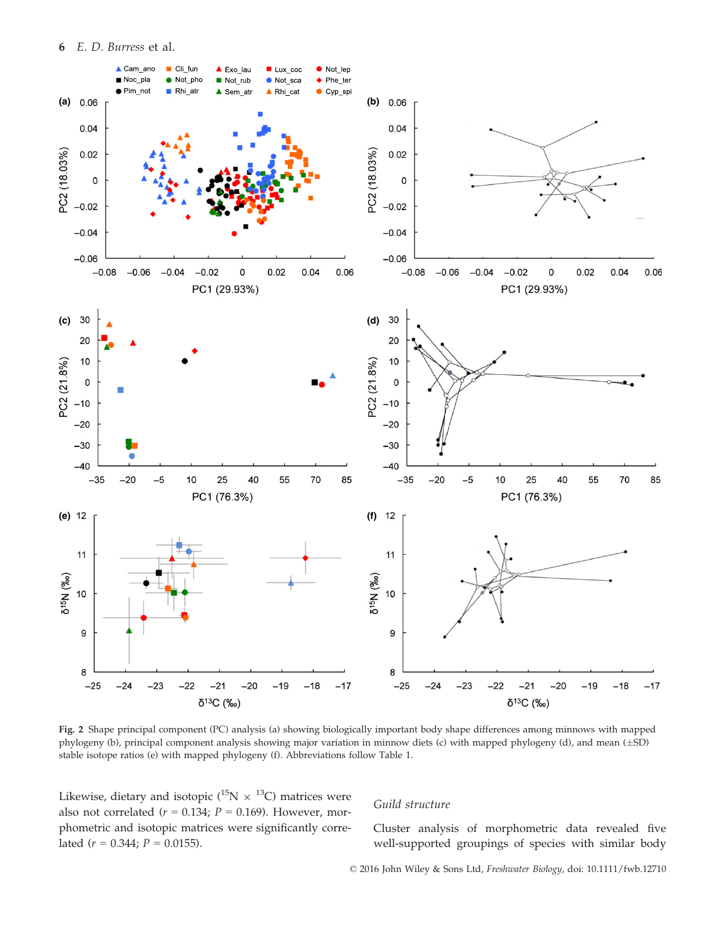6 E. D. Burress et al.



Fig. 2 Shape principal component (PC) analysis (a) showing biologically important body shape differences among minnows with mapped phylogeny (b), principal component analysis showing major variation in minnow diets (c) with mapped phylogeny (d), and mean  $(\pm SD)$ stable isotope ratios (e) with mapped phylogeny (f). Abbreviations follow Table 1.

Likewise, dietary and isotopic ( $^{15}N \times ^{13}C$ ) matrices were also not correlated ( $r = 0.134$ ;  $P = 0.169$ ). However, morphometric and isotopic matrices were significantly correlated ( $r = 0.344$ ;  $P = 0.0155$ ).

#### Guild structure

Cluster analysis of morphometric data revealed five well-supported groupings of species with similar body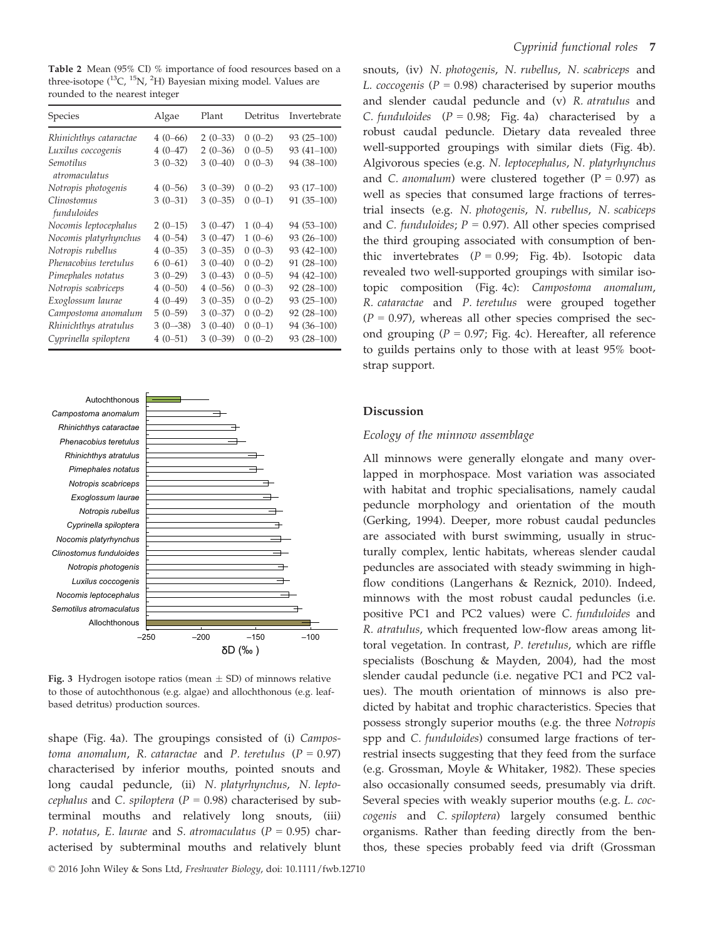Table 2 Mean (95% CI) % importance of food resources based on a three-isotope (<sup>13</sup>C, <sup>15</sup>N, <sup>2</sup>H) Bayesian mixing model. Values are rounded to the nearest integer

| Species                                  | Algae     | Plant     | Detritus | Invertebrate |
|------------------------------------------|-----------|-----------|----------|--------------|
| Rhinichthys cataractae                   | $4(0-66)$ | $2(0-33)$ | $0(0-2)$ | $93(25-100)$ |
| Luxilus coccogenis                       | $4(0-47)$ | $2(0-36)$ | $0(0-5)$ | $93(41-100)$ |
| <i>Semotilus</i><br><i>atromaculatus</i> | $3(0-32)$ | $3(0-40)$ | $0(0-3)$ | 94 (38-100)  |
| Notropis photogenis                      | $4(0-56)$ | $3(0-39)$ | $0(0-2)$ | 93 (17-100)  |
| Clinostomus<br>funduloides               | $3(0-31)$ | $3(0-35)$ | $0(0-1)$ | $91(35-100)$ |
| Nocomis leptocephalus                    | $2(0-15)$ | $3(0-47)$ | $1(0-4)$ | 94 (53-100)  |
| Nocomis platyrhynchus                    | $4(0-54)$ | $3(0-47)$ | $1(0-6)$ | $93(26-100)$ |
| Notropis rubellus                        | $4(0-35)$ | $3(0-35)$ | $0(0-3)$ | 93 (42-100)  |
| Phenacobius teretulus                    | $6(0-61)$ | $3(0-40)$ | $0(0-2)$ | 91 (28-100)  |
| Pimephales notatus                       | $3(0-29)$ | $3(0-43)$ | $0(0-5)$ | 94 (42-100)  |
| Notropis scabriceps                      | $4(0-50)$ | $4(0-56)$ | $0(0-3)$ | 92 (28-100)  |
| Exoglossum laurae                        | $4(0-49)$ | $3(0-35)$ | $0(0-2)$ | $93(25-100)$ |
| Campostoma anomalum                      | $5(0-59)$ | $3(0-37)$ | $0(0-2)$ | $92(28-100)$ |
| Rhinichthys atratulus                    | $3(0-38)$ | $3(0-40)$ | $0(0-1)$ | 94 (36-100)  |
| Cyprinella spiloptera                    | $4(0-51)$ | $3(0-39)$ | $0(0-2)$ | $93(28-100)$ |



Fig. 3 Hydrogen isotope ratios (mean  $\pm$  SD) of minnows relative to those of autochthonous (e.g. algae) and allochthonous (e.g. leafbased detritus) production sources.

shape (Fig. 4a). The groupings consisted of (i) Campostoma anomalum, R. cataractae and P. teretulus ( $P = 0.97$ ) characterised by inferior mouths, pointed snouts and long caudal peduncle, (ii) N. platyrhynchus, N. leptocephalus and C. spiloptera ( $P = 0.98$ ) characterised by subterminal mouths and relatively long snouts, (iii) P. notatus, E. laurae and S. atromaculatus ( $P = 0.95$ ) characterised by subterminal mouths and relatively blunt

© 2016 John Wiley & Sons Ltd, Freshwater Biology, doi: 10.1111/fwb.12710

snouts, (iv) N. photogenis, N. rubellus, N. scabriceps and L. coccogenis ( $P = 0.98$ ) characterised by superior mouths and slender caudal peduncle and (v) R. atratulus and C. funduloides  $(P = 0.98;$  Fig. 4a) characterised by a robust caudal peduncle. Dietary data revealed three well-supported groupings with similar diets (Fig. 4b). Algivorous species (e.g. N. leptocephalus, N. platyrhynchus and C. anomalum) were clustered together ( $P = 0.97$ ) as well as species that consumed large fractions of terrestrial insects (e.g. N. photogenis, N. rubellus, N. scabiceps and C. funduloides;  $P = 0.97$ ). All other species comprised the third grouping associated with consumption of benthic invertebrates  $(P = 0.99;$  Fig. 4b). Isotopic data revealed two well-supported groupings with similar isotopic composition (Fig. 4c): Campostoma anomalum, R. cataractae and P. teretulus were grouped together  $(P = 0.97)$ , whereas all other species comprised the second grouping ( $P = 0.97$ ; Fig. 4c). Hereafter, all reference to guilds pertains only to those with at least 95% bootstrap support.

## Discussion

#### Ecology of the minnow assemblage

All minnows were generally elongate and many overlapped in morphospace. Most variation was associated with habitat and trophic specialisations, namely caudal peduncle morphology and orientation of the mouth (Gerking, 1994). Deeper, more robust caudal peduncles are associated with burst swimming, usually in structurally complex, lentic habitats, whereas slender caudal peduncles are associated with steady swimming in highflow conditions (Langerhans & Reznick, 2010). Indeed, minnows with the most robust caudal peduncles (i.e. positive PC1 and PC2 values) were C. funduloides and R. atratulus, which frequented low-flow areas among littoral vegetation. In contrast, P. teretulus, which are riffle specialists (Boschung & Mayden, 2004), had the most slender caudal peduncle (i.e. negative PC1 and PC2 values). The mouth orientation of minnows is also predicted by habitat and trophic characteristics. Species that possess strongly superior mouths (e.g. the three Notropis spp and C. funduloides) consumed large fractions of terrestrial insects suggesting that they feed from the surface (e.g. Grossman, Moyle & Whitaker, 1982). These species also occasionally consumed seeds, presumably via drift. Several species with weakly superior mouths (e.g. L. coccogenis and C. spiloptera) largely consumed benthic organisms. Rather than feeding directly from the benthos, these species probably feed via drift (Grossman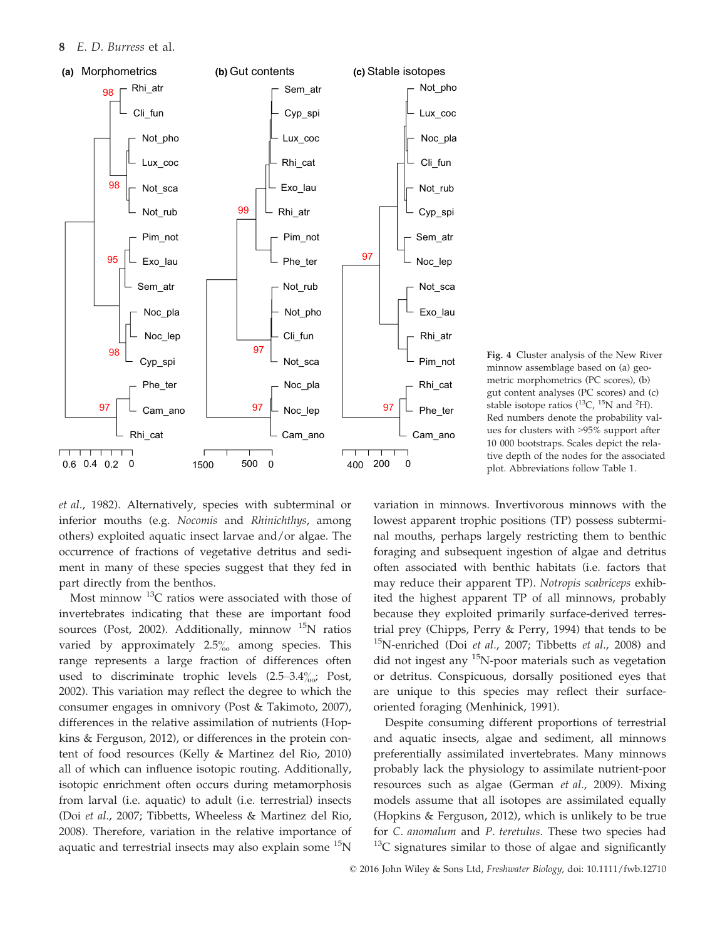

Fig. 4 Cluster analysis of the New River minnow assemblage based on (a) geometric morphometrics (PC scores), (b) gut content analyses (PC scores) and (c) stable isotope ratios  $(^{13}C, ^{15}N$  and <sup>2</sup>H). Red numbers denote the probability values for clusters with >95% support after 10 000 bootstraps. Scales depict the relative depth of the nodes for the associated plot. Abbreviations follow Table 1.

et al., 1982). Alternatively, species with subterminal or inferior mouths (e.g. Nocomis and Rhinichthys, among others) exploited aquatic insect larvae and/or algae. The occurrence of fractions of vegetative detritus and sediment in many of these species suggest that they fed in part directly from the benthos.

Most minnow  $^{13}$ C ratios were associated with those of invertebrates indicating that these are important food sources (Post, 2002). Additionally, minnow  $^{15}N$  ratios varied by approximately  $2.5\%$  among species. This range represents a large fraction of differences often used to discriminate trophic levels  $(2.5-3.4\%_{00}; Post,$ 2002). This variation may reflect the degree to which the consumer engages in omnivory (Post & Takimoto, 2007), differences in the relative assimilation of nutrients (Hopkins & Ferguson, 2012), or differences in the protein content of food resources (Kelly & Martinez del Rio, 2010) all of which can influence isotopic routing. Additionally, isotopic enrichment often occurs during metamorphosis from larval (i.e. aquatic) to adult (i.e. terrestrial) insects (Doi et al., 2007; Tibbetts, Wheeless & Martinez del Rio, 2008). Therefore, variation in the relative importance of aquatic and terrestrial insects may also explain some  $^{15}N$ 

variation in minnows. Invertivorous minnows with the lowest apparent trophic positions (TP) possess subterminal mouths, perhaps largely restricting them to benthic foraging and subsequent ingestion of algae and detritus often associated with benthic habitats (i.e. factors that may reduce their apparent TP). Notropis scabriceps exhibited the highest apparent TP of all minnows, probably because they exploited primarily surface-derived terrestrial prey (Chipps, Perry & Perry, 1994) that tends to be  $15$ N-enriched (Doi *et al.*, 2007; Tibbetts *et al.*, 2008) and did not ingest any  ${}^{15}N$ -poor materials such as vegetation or detritus. Conspicuous, dorsally positioned eyes that are unique to this species may reflect their surfaceoriented foraging (Menhinick, 1991).

Despite consuming different proportions of terrestrial and aquatic insects, algae and sediment, all minnows preferentially assimilated invertebrates. Many minnows probably lack the physiology to assimilate nutrient-poor resources such as algae (German et al., 2009). Mixing models assume that all isotopes are assimilated equally (Hopkins & Ferguson, 2012), which is unlikely to be true for C. anomalum and P. teretulus. These two species had  $13<sup>13</sup>C$  signatures similar to those of algae and significantly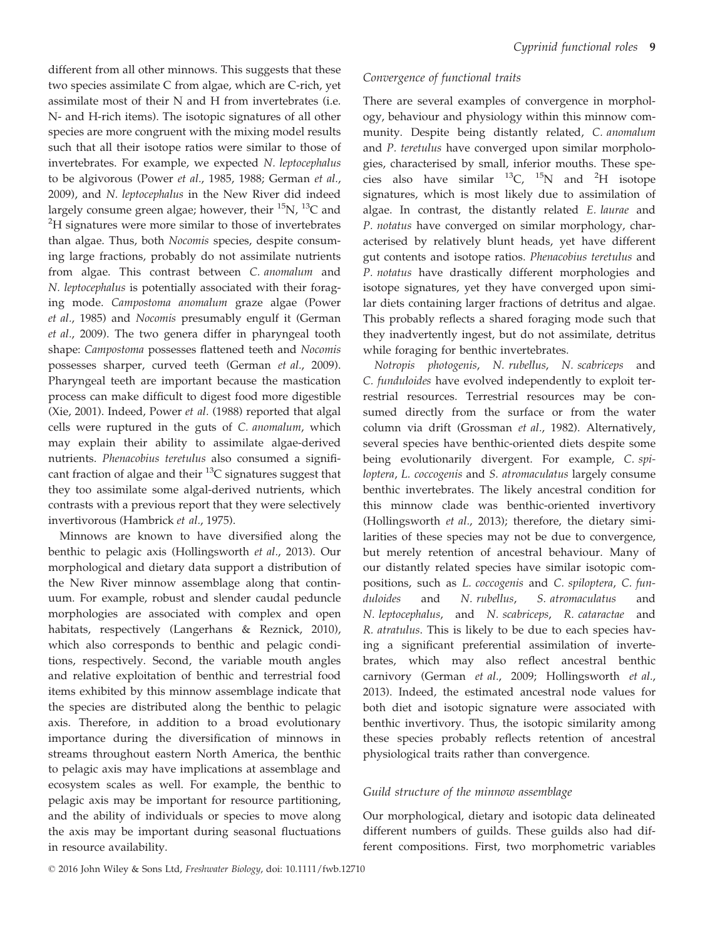different from all other minnows. This suggests that these two species assimilate C from algae, which are C-rich, yet assimilate most of their N and H from invertebrates (i.e. N- and H-rich items). The isotopic signatures of all other species are more congruent with the mixing model results such that all their isotope ratios were similar to those of invertebrates. For example, we expected N. leptocephalus to be algivorous (Power et al., 1985, 1988; German et al., 2009), and N. leptocephalus in the New River did indeed largely consume green algae; however, their  $^{15}$ N,  $^{13}$ C and <sup>2</sup>H signatures were more similar to those of invertebrates than algae. Thus, both Nocomis species, despite consuming large fractions, probably do not assimilate nutrients from algae. This contrast between C. anomalum and N. leptocephalus is potentially associated with their foraging mode. Campostoma anomalum graze algae (Power et al., 1985) and Nocomis presumably engulf it (German et al., 2009). The two genera differ in pharyngeal tooth shape: Campostoma possesses flattened teeth and Nocomis possesses sharper, curved teeth (German et al., 2009). Pharyngeal teeth are important because the mastication process can make difficult to digest food more digestible (Xie, 2001). Indeed, Power et al. (1988) reported that algal cells were ruptured in the guts of C. anomalum, which may explain their ability to assimilate algae-derived nutrients. Phenacobius teretulus also consumed a significant fraction of algae and their  ${}^{13}C$  signatures suggest that they too assimilate some algal-derived nutrients, which contrasts with a previous report that they were selectively invertivorous (Hambrick et al., 1975).

Minnows are known to have diversified along the benthic to pelagic axis (Hollingsworth et al., 2013). Our morphological and dietary data support a distribution of the New River minnow assemblage along that continuum. For example, robust and slender caudal peduncle morphologies are associated with complex and open habitats, respectively (Langerhans & Reznick, 2010), which also corresponds to benthic and pelagic conditions, respectively. Second, the variable mouth angles and relative exploitation of benthic and terrestrial food items exhibited by this minnow assemblage indicate that the species are distributed along the benthic to pelagic axis. Therefore, in addition to a broad evolutionary importance during the diversification of minnows in streams throughout eastern North America, the benthic to pelagic axis may have implications at assemblage and ecosystem scales as well. For example, the benthic to pelagic axis may be important for resource partitioning, and the ability of individuals or species to move along the axis may be important during seasonal fluctuations in resource availability.

## Convergence of functional traits

There are several examples of convergence in morphology, behaviour and physiology within this minnow community. Despite being distantly related, C. anomalum and P. teretulus have converged upon similar morphologies, characterised by small, inferior mouths. These species also have similar  $^{13}C$ ,  $^{15}N$  and  $^{2}H$  isotope signatures, which is most likely due to assimilation of algae. In contrast, the distantly related E. laurae and P. notatus have converged on similar morphology, characterised by relatively blunt heads, yet have different gut contents and isotope ratios. Phenacobius teretulus and P. notatus have drastically different morphologies and isotope signatures, yet they have converged upon similar diets containing larger fractions of detritus and algae. This probably reflects a shared foraging mode such that they inadvertently ingest, but do not assimilate, detritus while foraging for benthic invertebrates.

Notropis photogenis, N. rubellus, N. scabriceps and C. funduloides have evolved independently to exploit terrestrial resources. Terrestrial resources may be consumed directly from the surface or from the water column via drift (Grossman et al., 1982). Alternatively, several species have benthic-oriented diets despite some being evolutionarily divergent. For example, C. spiloptera, L. coccogenis and S. atromaculatus largely consume benthic invertebrates. The likely ancestral condition for this minnow clade was benthic-oriented invertivory (Hollingsworth et al., 2013); therefore, the dietary similarities of these species may not be due to convergence, but merely retention of ancestral behaviour. Many of our distantly related species have similar isotopic compositions, such as L. coccogenis and C. spiloptera, C. funduloides and N. rubellus, S. atromaculatus and N. leptocephalus, and N. scabriceps, R. cataractae and R. atratulus. This is likely to be due to each species having a significant preferential assimilation of invertebrates, which may also reflect ancestral benthic carnivory (German et al., 2009; Hollingsworth et al., 2013). Indeed, the estimated ancestral node values for both diet and isotopic signature were associated with benthic invertivory. Thus, the isotopic similarity among these species probably reflects retention of ancestral physiological traits rather than convergence.

## Guild structure of the minnow assemblage

Our morphological, dietary and isotopic data delineated different numbers of guilds. These guilds also had different compositions. First, two morphometric variables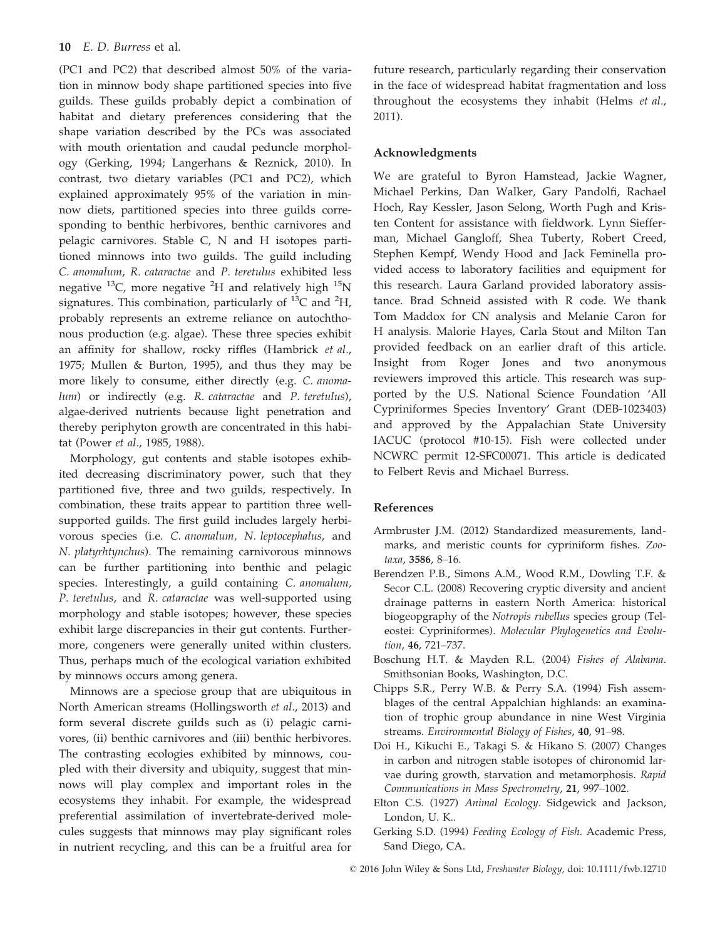(PC1 and PC2) that described almost 50% of the variation in minnow body shape partitioned species into five guilds. These guilds probably depict a combination of habitat and dietary preferences considering that the shape variation described by the PCs was associated with mouth orientation and caudal peduncle morphology (Gerking, 1994; Langerhans & Reznick, 2010). In contrast, two dietary variables (PC1 and PC2), which explained approximately 95% of the variation in minnow diets, partitioned species into three guilds corresponding to benthic herbivores, benthic carnivores and pelagic carnivores. Stable C, N and H isotopes partitioned minnows into two guilds. The guild including C. anomalum, R. cataractae and P. teretulus exhibited less negative  $^{13}$ C, more negative  $^{2}$ H and relatively high  $^{15}$ N signatures. This combination, particularly of  $^{13}C$  and  $^{2}H$ , probably represents an extreme reliance on autochthonous production (e.g. algae). These three species exhibit an affinity for shallow, rocky riffles (Hambrick et al., 1975; Mullen & Burton, 1995), and thus they may be more likely to consume, either directly (e.g. C. anomalum) or indirectly (e.g. R. cataractae and P. teretulus), algae-derived nutrients because light penetration and thereby periphyton growth are concentrated in this habitat (Power et al., 1985, 1988).

Morphology, gut contents and stable isotopes exhibited decreasing discriminatory power, such that they partitioned five, three and two guilds, respectively. In combination, these traits appear to partition three wellsupported guilds. The first guild includes largely herbivorous species (i.e. C. anomalum, N. leptocephalus, and N. platyrhtynchus). The remaining carnivorous minnows can be further partitioning into benthic and pelagic species. Interestingly, a guild containing C. anomalum, P. teretulus, and R. cataractae was well-supported using morphology and stable isotopes; however, these species exhibit large discrepancies in their gut contents. Furthermore, congeners were generally united within clusters. Thus, perhaps much of the ecological variation exhibited by minnows occurs among genera.

Minnows are a speciose group that are ubiquitous in North American streams (Hollingsworth et al., 2013) and form several discrete guilds such as (i) pelagic carnivores, (ii) benthic carnivores and (iii) benthic herbivores. The contrasting ecologies exhibited by minnows, coupled with their diversity and ubiquity, suggest that minnows will play complex and important roles in the ecosystems they inhabit. For example, the widespread preferential assimilation of invertebrate-derived molecules suggests that minnows may play significant roles in nutrient recycling, and this can be a fruitful area for future research, particularly regarding their conservation in the face of widespread habitat fragmentation and loss throughout the ecosystems they inhabit (Helms et al., 2011).

#### Acknowledgments

We are grateful to Byron Hamstead, Jackie Wagner, Michael Perkins, Dan Walker, Gary Pandolfi, Rachael Hoch, Ray Kessler, Jason Selong, Worth Pugh and Kristen Content for assistance with fieldwork. Lynn Siefferman, Michael Gangloff, Shea Tuberty, Robert Creed, Stephen Kempf, Wendy Hood and Jack Feminella provided access to laboratory facilities and equipment for this research. Laura Garland provided laboratory assistance. Brad Schneid assisted with R code. We thank Tom Maddox for CN analysis and Melanie Caron for H analysis. Malorie Hayes, Carla Stout and Milton Tan provided feedback on an earlier draft of this article. Insight from Roger Jones and two anonymous reviewers improved this article. This research was supported by the U.S. National Science Foundation 'All Cypriniformes Species Inventory' Grant (DEB-1023403) and approved by the Appalachian State University IACUC (protocol #10-15). Fish were collected under NCWRC permit 12-SFC00071. This article is dedicated to Felbert Revis and Michael Burress.

## References

- Armbruster J.M. (2012) Standardized measurements, landmarks, and meristic counts for cypriniform fishes. Zootaxa, 3586, 8–16.
- Berendzen P.B., Simons A.M., Wood R.M., Dowling T.F. & Secor C.L. (2008) Recovering cryptic diversity and ancient drainage patterns in eastern North America: historical biogeopgraphy of the Notropis rubellus species group (Teleostei: Cypriniformes). Molecular Phylogenetics and Evolution, 46, 721–737.
- Boschung H.T. & Mayden R.L. (2004) Fishes of Alabama. Smithsonian Books, Washington, D.C.
- Chipps S.R., Perry W.B. & Perry S.A. (1994) Fish assemblages of the central Appalchian highlands: an examination of trophic group abundance in nine West Virginia streams. Environmental Biology of Fishes, 40, 91–98.
- Doi H., Kikuchi E., Takagi S. & Hikano S. (2007) Changes in carbon and nitrogen stable isotopes of chironomid larvae during growth, starvation and metamorphosis. Rapid Communications in Mass Spectrometry, 21, 997–1002.
- Elton C.S. (1927) Animal Ecology. Sidgewick and Jackson, London, U. K..
- Gerking S.D. (1994) Feeding Ecology of Fish. Academic Press, Sand Diego, CA.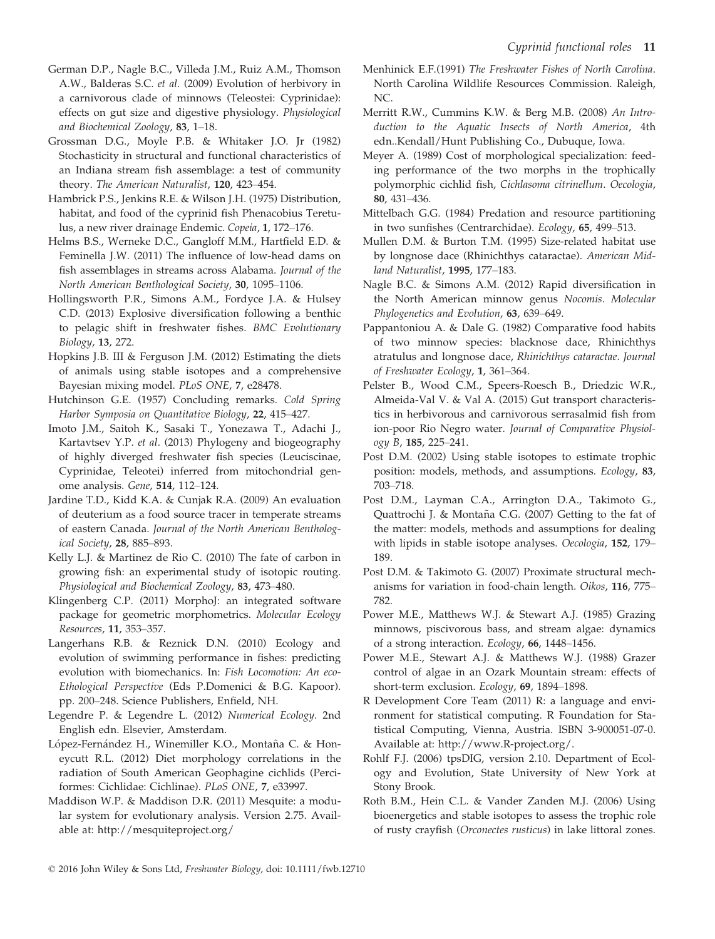- German D.P., Nagle B.C., Villeda J.M., Ruiz A.M., Thomson A.W., Balderas S.C. et al. (2009) Evolution of herbivory in a carnivorous clade of minnows (Teleostei: Cyprinidae): effects on gut size and digestive physiology. Physiological and Biochemical Zoology, 83, 1–18.
- Grossman D.G., Moyle P.B. & Whitaker J.O. Jr (1982) Stochasticity in structural and functional characteristics of an Indiana stream fish assemblage: a test of community theory. The American Naturalist, 120, 423–454.
- Hambrick P.S., Jenkins R.E. & Wilson J.H. (1975) Distribution, habitat, and food of the cyprinid fish Phenacobius Teretulus, a new river drainage Endemic. Copeia, 1, 172–176.
- Helms B.S., Werneke D.C., Gangloff M.M., Hartfield E.D. & Feminella J.W. (2011) The influence of low-head dams on fish assemblages in streams across Alabama. Journal of the North American Benthological Society, 30, 1095–1106.
- Hollingsworth P.R., Simons A.M., Fordyce J.A. & Hulsey C.D. (2013) Explosive diversification following a benthic to pelagic shift in freshwater fishes. BMC Evolutionary Biology, 13, 272.
- Hopkins J.B. III & Ferguson J.M. (2012) Estimating the diets of animals using stable isotopes and a comprehensive Bayesian mixing model. PLoS ONE, 7, e28478.
- Hutchinson G.E. (1957) Concluding remarks. Cold Spring Harbor Symposia on Quantitative Biology, 22, 415–427.
- Imoto J.M., Saitoh K., Sasaki T., Yonezawa T., Adachi J., Kartavtsev Y.P. et al. (2013) Phylogeny and biogeography of highly diverged freshwater fish species (Leuciscinae, Cyprinidae, Teleotei) inferred from mitochondrial genome analysis. Gene, 514, 112–124.
- Jardine T.D., Kidd K.A. & Cunjak R.A. (2009) An evaluation of deuterium as a food source tracer in temperate streams of eastern Canada. Journal of the North American Benthological Society, 28, 885–893.
- Kelly L.J. & Martinez de Rio C. (2010) The fate of carbon in growing fish: an experimental study of isotopic routing. Physiological and Biochemical Zoology, 83, 473–480.
- Klingenberg C.P. (2011) MorphoJ: an integrated software package for geometric morphometrics. Molecular Ecology Resources, 11, 353–357.
- Langerhans R.B. & Reznick D.N. (2010) Ecology and evolution of swimming performance in fishes: predicting evolution with biomechanics. In: Fish Locomotion: An eco-Ethological Perspective (Eds P.Domenici & B.G. Kapoor). pp. 200–248. Science Publishers, Enfield, NH.
- Legendre P. & Legendre L. (2012) Numerical Ecology. 2nd English edn. Elsevier, Amsterdam.
- López-Fernández H., Winemiller K.O., Montaña C. & Honeycutt R.L. (2012) Diet morphology correlations in the radiation of South American Geophagine cichlids (Perciformes: Cichlidae: Cichlinae). PLoS ONE, 7, e33997.
- Maddison W.P. & Maddison D.R. (2011) Mesquite: a modular system for evolutionary analysis. Version 2.75. Available at: [http://mesquiteproject.org/](http://mesquitepro�ject.org/)
- Menhinick E.F.(1991) The Freshwater Fishes of North Carolina. North Carolina Wildlife Resources Commission. Raleigh, NC.
- Merritt R.W., Cummins K.W. & Berg M.B. (2008) An Introduction to the Aquatic Insects of North America, 4th edn..Kendall/Hunt Publishing Co., Dubuque, Iowa.
- Meyer A. (1989) Cost of morphological specialization: feeding performance of the two morphs in the trophically polymorphic cichlid fish, Cichlasoma citrinellum. Oecologia, 80, 431–436.
- Mittelbach G.G. (1984) Predation and resource partitioning in two sunfishes (Centrarchidae). Ecology, 65, 499–513.
- Mullen D.M. & Burton T.M. (1995) Size-related habitat use by longnose dace (Rhinichthys cataractae). American Midland Naturalist, 1995, 177–183.
- Nagle B.C. & Simons A.M. (2012) Rapid diversification in the North American minnow genus Nocomis. Molecular Phylogenetics and Evolution, 63, 639–649.
- Pappantoniou A. & Dale G. (1982) Comparative food habits of two minnow species: blacknose dace, Rhinichthys atratulus and longnose dace, Rhinichthys cataractae. Journal of Freshwater Ecology, 1, 361–364.
- Pelster B., Wood C.M., Speers-Roesch B., Driedzic W.R., Almeida-Val V. & Val A. (2015) Gut transport characteristics in herbivorous and carnivorous serrasalmid fish from ion-poor Rio Negro water. Journal of Comparative Physiology B, 185, 225–241.
- Post D.M. (2002) Using stable isotopes to estimate trophic position: models, methods, and assumptions. Ecology, 83, 703–718.
- Post D.M., Layman C.A., Arrington D.A., Takimoto G., Quattrochi J. & Montaña C.G. (2007) Getting to the fat of the matter: models, methods and assumptions for dealing with lipids in stable isotope analyses. Oecologia, 152, 179– 189.
- Post D.M. & Takimoto G. (2007) Proximate structural mechanisms for variation in food-chain length. Oikos, 116, 775– 782.
- Power M.E., Matthews W.J. & Stewart A.J. (1985) Grazing minnows, piscivorous bass, and stream algae: dynamics of a strong interaction. Ecology, 66, 1448–1456.
- Power M.E., Stewart A.J. & Matthews W.J. (1988) Grazer control of algae in an Ozark Mountain stream: effects of short-term exclusion. Ecology, 69, 1894–1898.
- R Development Core Team (2011) R: a language and environment for statistical computing. R Foundation for Statistical Computing, Vienna, Austria. ISBN 3-900051-07-0. Available at:<http://www.R-project.org/>.
- Rohlf F.J. (2006) tpsDIG, version 2.10. Department of Ecology and Evolution, State University of New York at Stony Brook.
- Roth B.M., Hein C.L. & Vander Zanden M.J. (2006) Using bioenergetics and stable isotopes to assess the trophic role of rusty crayfish (Orconectes rusticus) in lake littoral zones.